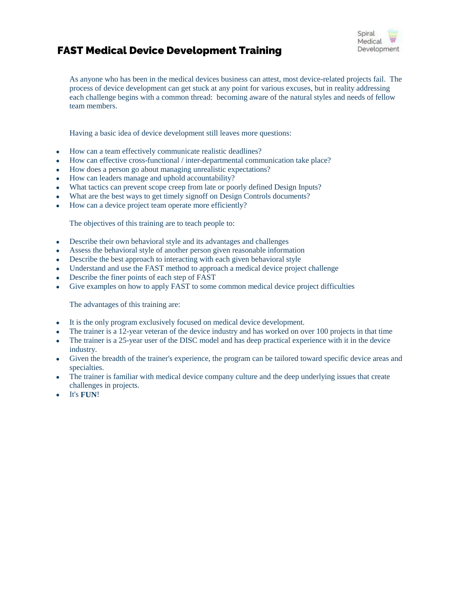# FAST Medical Device Development Training



As anyone who has been in the medical devices business can attest, most device-related projects fail. The process of device development can get stuck at any point for various excuses, but in reality addressing each challenge begins with a common thread: becoming aware of the natural styles and needs of fellow team members.

Having a basic idea of device development still leaves more questions:

- How can a team effectively communicate realistic deadlines?
- How can effective cross-functional / inter-departmental communication take place?
- How does a person go about managing unrealistic expectations?
- How can leaders manage and uphold accountability?
- What tactics can prevent scope creep from late or poorly defined Design Inputs?
- What are the best ways to get timely signoff on Design Controls documents?
- How can a device project team operate more efficiently?

The objectives of this training are to teach people to:

- Describe their own behavioral style and its advantages and challenges
- Assess the behavioral style of another person given reasonable information
- Describe the best approach to interacting with each given behavioral style
- Understand and use the FAST method to approach a medical device project challenge
- Describe the finer points of each step of FAST
- Give examples on how to apply FAST to some common medical device project difficulties

The advantages of this training are:

- It is the only program exclusively focused on medical device development.
- The trainer is a 12-year veteran of the device industry and has worked on over 100 projects in that time
- The trainer is a 25-year user of the DISC model and has deep practical experience with it in the device industry.
- Given the breadth of the trainer's experience, the program can be tailored toward specific device areas and specialties.
- The trainer is familiar with medical device company culture and the deep underlying issues that create challenges in projects.
- It's **FUN**!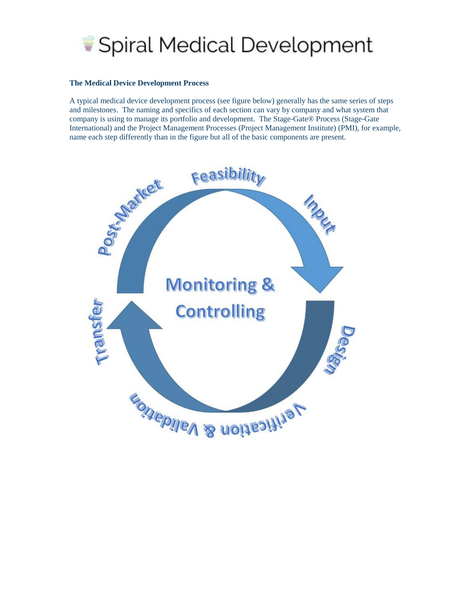

#### **The Medical Device Development Process**

A typical medical device development process (see figure below) generally has the same series of steps and milestones. The naming and specifics of each section can vary by company and what system that company is using to manage its portfolio and development. The Stage-Gate® Process (Stage-Gate International) and the Project Management Processes (Project Management Institute) (PMI), for example, name each step differently than in the figure but all of the basic components are present.

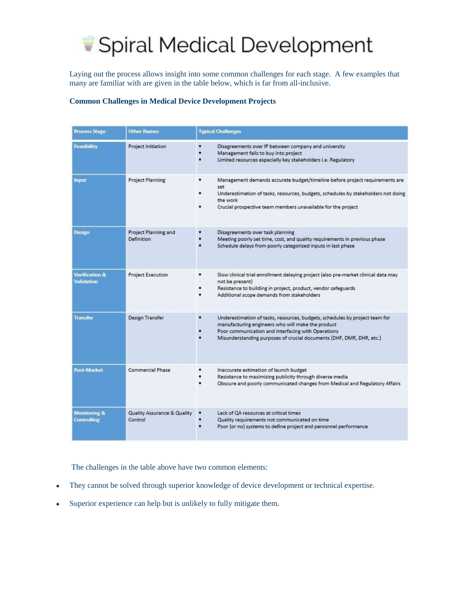

Laying out the process allows insight into some common challenges for each stage. A few examples that many are familiar with are given in the table below, which is far from all-inclusive.

# **Common Challenges in Medical Device Development Projects**

| <b>Process Stage</b>                          | <b>Other Names</b>                        | <b>Typical Challenges</b>                                                                                                                                                                                                                                           |
|-----------------------------------------------|-------------------------------------------|---------------------------------------------------------------------------------------------------------------------------------------------------------------------------------------------------------------------------------------------------------------------|
| Feasibility                                   | <b>Project Initiation</b>                 | ٠<br>Disagreements over IP between company and university<br>Management fails to buy into project<br>Limited resources especially key stakeholders i.e. Regulatory                                                                                                  |
| <b>Input</b>                                  | <b>Project Planning</b>                   | ٠<br>Management demands accurate budget/timeline before project requirements are<br>set<br>Underestimation of tasks, resources, budgets, schedules by stakeholders not doing<br>the work<br>Crucial prospective team members unavailable for the project            |
| <b>Design</b>                                 | Project Planning and<br><b>Definition</b> | Disagreements over task planning<br>Meeting poorly set time, cost, and quality requirements in previous phase<br>Schedule delays from poorly categorized inputs in last phase                                                                                       |
| <b>Verification &amp;</b><br>Validation       | Project Execution                         | Slow clinical trial enrollment delaying project (also pre-market clinical data may<br>not be present)<br>Resistance to building in project, product, vendor safeguards<br>Additional scope demands from stakeholders                                                |
| <b>Transfer</b>                               | <b>Design Transfer</b>                    | ٠<br>Underestimation of tasks, resources, budgets, schedules by project team for<br>manufacturing engineers who will make the product<br>Poor communication and interfacing with Operations<br>Misunderstanding purposes of crucial documents (DHF, DMR, DHR, etc.) |
| Post-Market                                   | Commercial Phase                          | Inaccurate estimation of launch budget<br>Resistance to maximizing publicity through diverse media<br>Obscure and poorly communicated changes from Medical and Regulatory Affairs                                                                                   |
| <b>Monitoring &amp;</b><br><b>Controlling</b> | Quality Assurance & Quality<br>Control    | Lack of QA resources at critical times<br>Quality requirements not communicated on time<br>Poor (or no) systems to define project and personnel performance                                                                                                         |

The challenges in the table above have two common elements:

- They cannot be solved through superior knowledge of device development or technical expertise.
- Superior experience can help but is unlikely to fully mitigate them.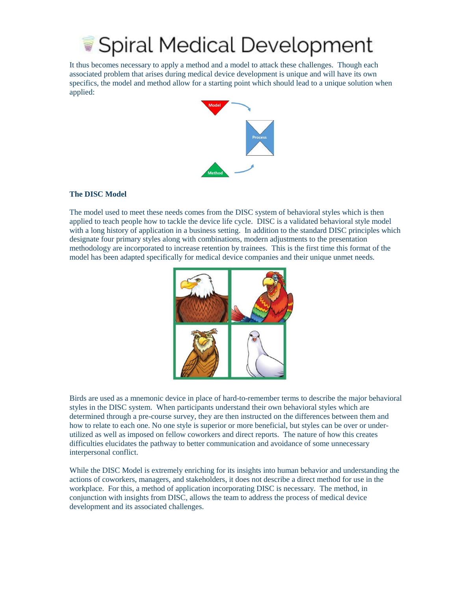# Spiral Medical Development

It thus becomes necessary to apply a method and a model to attack these challenges. Though each associated problem that arises during medical device development is unique and will have its own specifics, the model and method allow for a starting point which should lead to a unique solution when applied:



## **The DISC Model**

The model used to meet these needs comes from the DISC system of behavioral styles which is then applied to teach people how to tackle the device life cycle. DISC is a validated behavioral style model with a long history of application in a business setting. In addition to the standard DISC principles which designate four primary styles along with combinations, modern adjustments to the presentation methodology are incorporated to increase retention by trainees. This is the first time this format of the model has been adapted specifically for medical device companies and their unique unmet needs.



Birds are used as a mnemonic device in place of hard-to-remember terms to describe the major behavioral styles in the DISC system. When participants understand their own behavioral styles which are determined through a pre-course survey, they are then instructed on the differences between them and how to relate to each one. No one style is superior or more beneficial, but styles can be over or underutilized as well as imposed on fellow coworkers and direct reports. The nature of how this creates difficulties elucidates the pathway to better communication and avoidance of some unnecessary interpersonal conflict.

While the DISC Model is extremely enriching for its insights into human behavior and understanding the actions of coworkers, managers, and stakeholders, it does not describe a direct method for use in the workplace. For this, a method of application incorporating DISC is necessary. The method, in conjunction with insights from DISC, allows the team to address the process of medical device development and its associated challenges.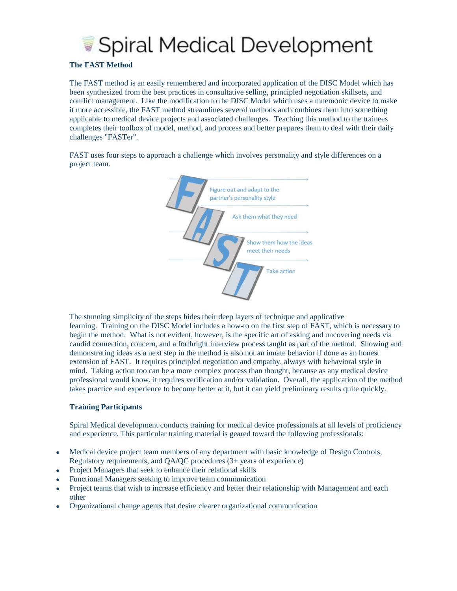

### **The FAST Method**

The FAST method is an easily remembered and incorporated application of the DISC Model which has been synthesized from the best practices in consultative selling, principled negotiation skillsets, and conflict management. Like the modification to the DISC Model which uses a mnemonic device to make it more accessible, the FAST method streamlines several methods and combines them into something applicable to medical device projects and associated challenges. Teaching this method to the trainees completes their toolbox of model, method, and process and better prepares them to deal with their daily challenges "FASTer".

FAST uses four steps to approach a challenge which involves personality and style differences on a project team.



The stunning simplicity of the steps hides their deep layers of technique and applicative learning. Training on the DISC Model includes a how-to on the first step of FAST, which is necessary to begin the method. What is not evident, however, is the specific art of asking and uncovering needs via candid connection, concern, and a forthright interview process taught as part of the method. Showing and demonstrating ideas as a next step in the method is also not an innate behavior if done as an honest extension of FAST. It requires principled negotiation and empathy, always with behavioral style in mind. Taking action too can be a more complex process than thought, because as any medical device professional would know, it requires verification and/or validation. Overall, the application of the method takes practice and experience to become better at it, but it can yield preliminary results quite quickly.

### **Training Participants**

Spiral Medical development conducts training for medical device professionals at all levels of proficiency and experience. This particular training material is geared toward the following professionals:

- Medical device project team members of any department with basic knowledge of Design Controls, Regulatory requirements, and QA/QC procedures (3+ years of experience)
- Project Managers that seek to enhance their relational skills
- Functional Managers seeking to improve team communication
- Project teams that wish to increase efficiency and better their relationship with Management and each other
- Organizational change agents that desire clearer organizational communication